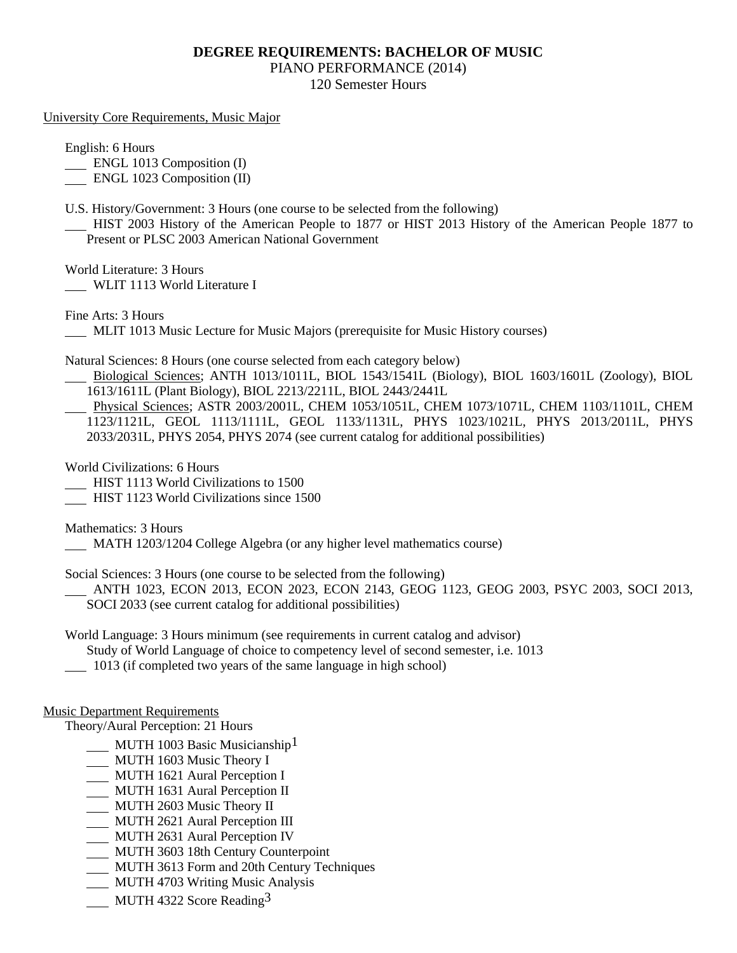### **DEGREE REQUIREMENTS: BACHELOR OF MUSIC**

PIANO PERFORMANCE (2014)

120 Semester Hours

#### University Core Requirements, Music Major

English: 6 Hours

**ENGL 1013 Composition (I)** 

ENGL 1023 Composition (II)

U.S. History/Government: 3 Hours (one course to be selected from the following)

 HIST 2003 History of the American People to 1877 or HIST 2013 History of the American People 1877 to Present or PLSC 2003 American National Government

World Literature: 3 Hours

WLIT 1113 World Literature I

Fine Arts: 3 Hours

MLIT 1013 Music Lecture for Music Majors (prerequisite for Music History courses)

Natural Sciences: 8 Hours (one course selected from each category below)

 Biological Sciences; ANTH 1013/1011L, BIOL 1543/1541L (Biology), BIOL 1603/1601L (Zoology), BIOL 1613/1611L (Plant Biology), BIOL 2213/2211L, BIOL 2443/2441L

 Physical Sciences; ASTR 2003/2001L, CHEM 1053/1051L, CHEM 1073/1071L, CHEM 1103/1101L, CHEM 1123/1121L, GEOL 1113/1111L, GEOL 1133/1131L, PHYS 1023/1021L, PHYS 2013/2011L, PHYS 2033/2031L, PHYS 2054, PHYS 2074 (see current catalog for additional possibilities)

World Civilizations: 6 Hours

**HIST 1113 World Civilizations to 1500** 

HIST 1123 World Civilizations since 1500

Mathematics: 3 Hours

MATH 1203/1204 College Algebra (or any higher level mathematics course)

Social Sciences: 3 Hours (one course to be selected from the following)

 ANTH 1023, ECON 2013, ECON 2023, ECON 2143, GEOG 1123, GEOG 2003, PSYC 2003, SOCI 2013, SOCI 2033 (see current catalog for additional possibilities)

World Language: 3 Hours minimum (see requirements in current catalog and advisor)

Study of World Language of choice to competency level of second semester, i.e. 1013

1013 (if completed two years of the same language in high school)

### Music Department Requirements

Theory/Aural Perception: 21 Hours

- MUTH 1003 Basic Musicianship<sup>1</sup>
- MUTH 1603 Music Theory I
- **MUTH 1621 Aural Perception I**
- MUTH 1631 Aural Perception II
- MUTH 2603 Music Theory II
- MUTH 2621 Aural Perception III
- MUTH 2631 Aural Perception IV
- MUTH 3603 18th Century Counterpoint
- MUTH 3613 Form and 20th Century Techniques
- **MUTH 4703 Writing Music Analysis**
- MUTH 4322 Score Reading  $3$